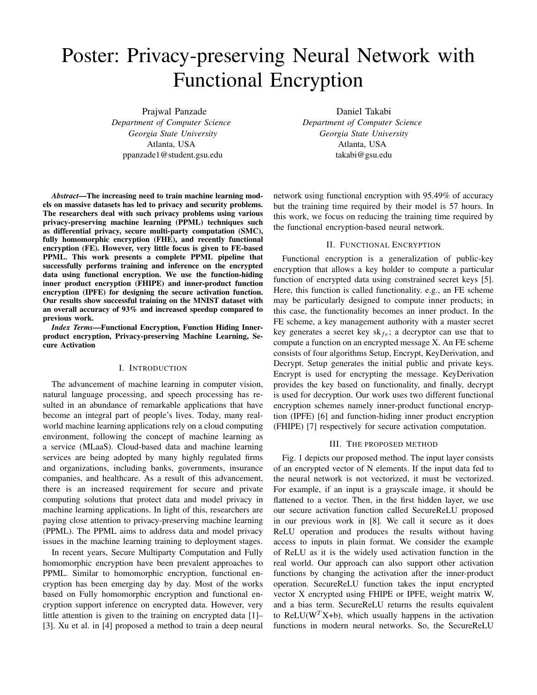# Poster: Privacy-preserving Neural Network with Functional Encryption

Prajwal Panzade *Department of Computer Science Georgia State University* Atlanta, USA ppanzade1@student.gsu.edu

*Abstract*—The increasing need to train machine learning models on massive datasets has led to privacy and security problems. The researchers deal with such privacy problems using various privacy-preserving machine learning (PPML) techniques such as differential privacy, secure multi-party computation (SMC), fully homomorphic encryption (FHE), and recently functional encryption (FE). However, very little focus is given to FE-based PPML. This work presents a complete PPML pipeline that successfully performs training and inference on the encrypted data using functional encryption. We use the function-hiding inner product encryption (FHIPE) and inner-product function encryption (IPFE) for designing the secure activation function. Our results show successful training on the MNIST dataset with an overall accuracy of 93% and increased speedup compared to previous work.

*Index Terms*—Functional Encryption, Function Hiding Innerproduct encryption, Privacy-preserving Machine Learning, Secure Activation

#### I. INTRODUCTION

The advancement of machine learning in computer vision, natural language processing, and speech processing has resulted in an abundance of remarkable applications that have become an integral part of people's lives. Today, many realworld machine learning applications rely on a cloud computing environment, following the concept of machine learning as a service (MLaaS). Cloud-based data and machine learning services are being adopted by many highly regulated firms and organizations, including banks, governments, insurance companies, and healthcare. As a result of this advancement, there is an increased requirement for secure and private computing solutions that protect data and model privacy in machine learning applications. In light of this, researchers are paying close attention to privacy-preserving machine learning (PPML). The PPML aims to address data and model privacy issues in the machine learning training to deployment stages.

In recent years, Secure Multiparty Computation and Fully homomorphic encryption have been prevalent approaches to PPML. Similar to homomorphic encryption, functional encryption has been emerging day by day. Most of the works based on Fully homomorphic encryption and functional encryption support inference on encrypted data. However, very little attention is given to the training on encrypted data [1]– [3]. Xu et al. in [4] proposed a method to train a deep neural

Daniel Takabi *Department of Computer Science Georgia State University* Atlanta, USA takabi@gsu.edu

network using functional encryption with 95.49% of accuracy but the training time required by their model is 57 hours. In this work, we focus on reducing the training time required by the functional encryption-based neural network.

### II. FUNCTIONAL ENCRYPTION

Functional encryption is a generalization of public-key encryption that allows a key holder to compute a particular function of encrypted data using constrained secret keys [5]. Here, this function is called functionality. e.g., an FE scheme may be particularly designed to compute inner products; in this case, the functionality becomes an inner product. In the FE scheme, a key management authority with a master secret key generates a secret key  $sk_{fe}$ ; a decryptor can use that to compute a function on an encrypted message X. An FE scheme consists of four algorithms Setup, Encrypt, KeyDerivation, and Decrypt. Setup generates the initial public and private keys. Encrypt is used for encrypting the message. KeyDerivation provides the key based on functionality, and finally, decrypt is used for decryption. Our work uses two different functional encryption schemes namely inner-product functional encryption (IPFE) [6] and function-hiding inner product encryption (FHIPE) [7] respectively for secure activation computation.

#### III. THE PROPOSED METHOD

Fig. 1 depicts our proposed method. The input layer consists of an encrypted vector of N elements. If the input data fed to the neural network is not vectorized, it must be vectorized. For example, if an input is a grayscale image, it should be flattened to a vector. Then, in the first hidden layer, we use our secure activation function called SecureReLU proposed in our previous work in [8]. We call it secure as it does ReLU operation and produces the results without having access to inputs in plain format. We consider the example of ReLU as it is the widely used activation function in the real world. Our approach can also support other activation functions by changing the activation after the inner-product operation. SecureReLU function takes the input encrypted vector X encrypted using FHIPE or IPFE, weight matrix W, and a bias term. SecureReLU returns the results equivalent to ReLU( $W<sup>T</sup>X+b$ ), which usually happens in the activation functions in modern neural networks. So, the SecureReLU